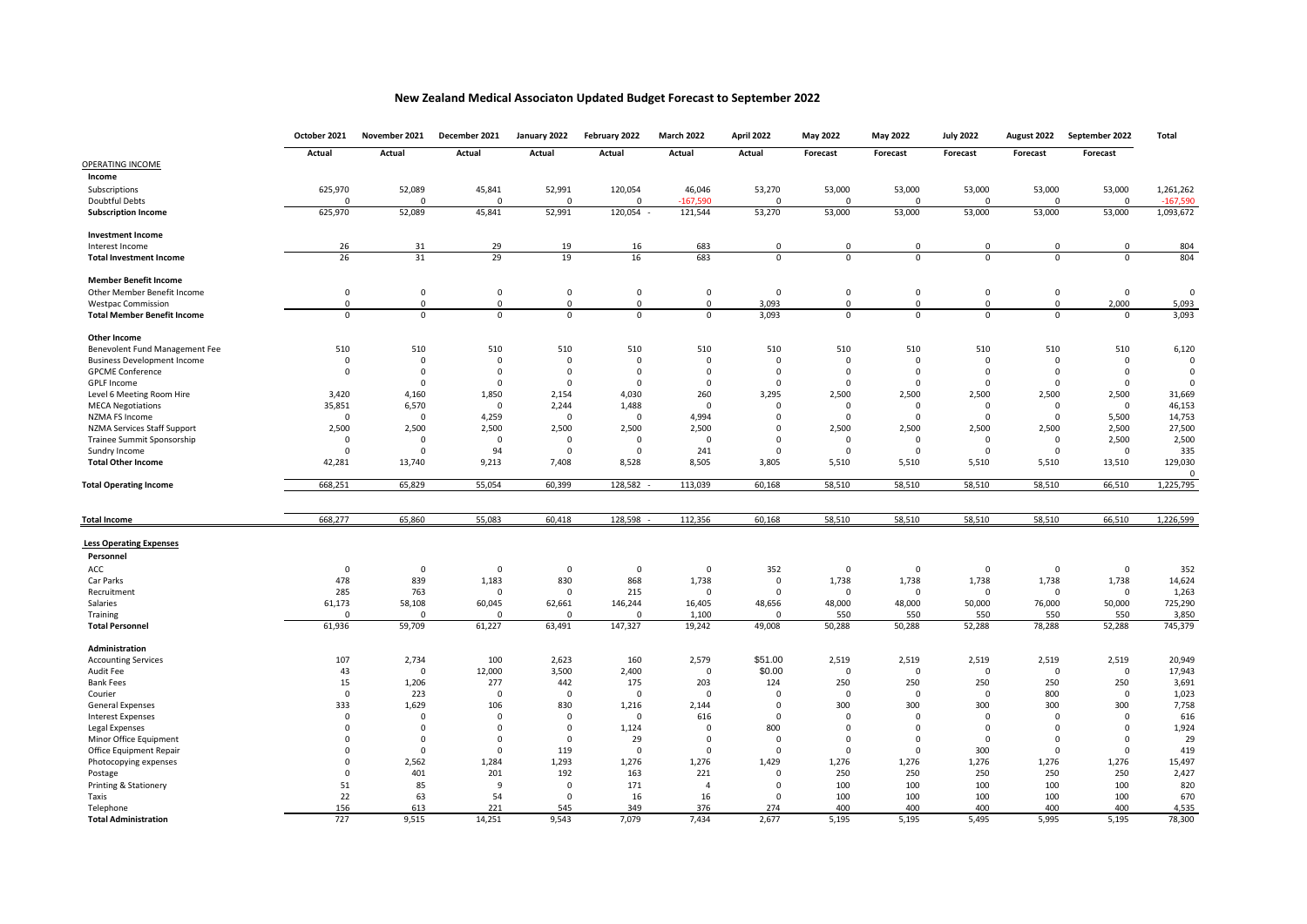## **New Zealand Medical Associaton Updated Budget Forecast to September 2022**

| Actual<br>Actual<br>Actual<br>Actual<br>Actual<br>Actual<br>Actual<br>Forecast<br>Forecast<br>Forecast<br>Forecast<br>Forecast<br>OPERATING INCOME<br>Income<br>625,970<br>52,089<br>45,841<br>52,991<br>120,054<br>53,270<br>53,000<br>53,000<br>53,000<br>46,046<br>53,000<br>53,000<br>Subscriptions<br>Doubtful Debts<br>$\Omega$<br>$-167,590$<br>$\Omega$<br>$\Omega$<br>$\Omega$<br>$\Omega$<br>$\Omega$<br>$\Omega$<br>$\Omega$<br>$\Omega$<br>$\Omega$<br>$\Omega$<br>121,544<br>625,970<br>52,089<br>45,841<br>52,991<br>120,054<br>53,270<br>53,000<br>53,000<br>53,000<br>53,000<br>53,000<br><b>Subscription Income</b><br><b>Investment Income</b><br>26<br>31<br>29<br>19<br>683<br>$\mathsf 0$<br>$\mathbf 0$<br>$\mathbf 0$<br>$\mathbf 0$<br>Interest Income<br>16<br>$\Omega$<br>0<br>16<br>31<br>29<br>19<br>683<br>26<br>$\Omega$<br>$\Omega$<br>$\Omega$<br>$\Omega$<br>$\Omega$<br>$\Omega$<br><b>Total Investment Income</b><br><b>Member Benefit Income</b><br>$\mathsf 0$<br>$\mathsf 0$<br>$\mathbf 0$<br>$\mathbf 0$<br>Other Member Benefit Income<br>0<br>0<br>0<br>0<br>$\mathbf 0$<br>0<br>0<br>0<br>$\mathsf 0$<br>3,093<br>2,000<br>0<br>$\Omega$<br>0<br>$\Omega$<br>0<br>$\mathbf 0$<br>$\Omega$<br><b>Westpac Commission</b><br>$\Omega$<br>$\Omega$<br>$\Omega$<br>$\mathbf 0$<br>0<br>3,093<br>$\Omega$<br>$\mathbf 0$<br>$\mathbf 0$<br>$\mathbf 0$<br>$\mathbf 0$<br>$\Omega$<br>$\mathbf 0$<br>$\Omega$<br><b>Total Member Benefit Income</b><br><b>Other Income</b><br>510<br>510<br>510<br>510<br>510<br>510<br>510<br>510<br>510<br>510<br>510<br>510<br>Benevolent Fund Management Fee<br><b>Business Development Income</b><br>$\mathbf 0$<br>$^{\circ}$<br>$\mathbf 0$<br>0<br>$^{\circ}$<br>$\Omega$<br>0<br>$^{\circ}$<br>$\Omega$<br>0<br>$^{\circ}$<br>0<br><b>GPCME Conference</b><br>$\mathbf 0$<br>$\mathbf 0$<br>$\Omega$<br>$\Omega$<br>$\mathbf 0$<br>$\Omega$<br>$\Omega$<br>$\mathbf 0$<br>$\Omega$<br>$\mathbf 0$<br>$\mathbf 0$<br>$\Omega$<br><b>GPLF Income</b><br>$\Omega$<br>$\Omega$<br>$\Omega$<br>$\Omega$<br>$\Omega$<br>$\Omega$<br>$\Omega$<br>$\Omega$<br>$\Omega$<br>$\Omega$<br>$\Omega$<br>3,420<br>1,850<br>260<br>3,295<br>2,500<br>2,500<br>2,500<br>2,500<br>2,500<br>Level 6 Meeting Room Hire<br>4,160<br>2,154<br>4,030<br>35,851<br>6,570<br>1,488<br><b>MECA Negotiations</b><br>$\Omega$<br>2,244<br>$\Omega$<br>$\Omega$<br>$\Omega$<br>$\Omega$<br>$\mathbf 0$<br>$\Omega$<br>$\Omega$<br>$\mathbf 0$<br>$\mathsf 0$<br>4,994<br>5,500<br>NZMA FS Income<br>$\mathsf 0$<br>4,259<br>$\mathbf 0$<br>$\Omega$<br>$\mathbf 0$<br>$\mathbf 0$<br>$\mathbf 0$<br>$\mathbf 0$<br>2,500<br>2,500<br>2,500<br>2,500<br>2,500<br>2,500<br>$\Omega$<br>2,500<br>2,500<br>2,500<br>2,500<br>2,500<br>NZMA Services Staff Support<br>Trainee Summit Sponsorship<br>$\overline{0}$<br>$\mathbf 0$<br>$\Omega$<br>$\mathbf 0$<br>$\Omega$<br>$\mathbf 0$<br>$\Omega$<br>$\Omega$<br>$\overline{0}$<br>$\mathbf 0$<br>$\mathbf 0$<br>2,500<br>94<br>Sundry Income<br>$\Omega$<br>$\mathbf 0$<br>$\Omega$<br>$\Omega$<br>241<br>$\Omega$<br>$\Omega$<br>$\Omega$<br>$\Omega$<br>$\Omega$<br>$\mathbf 0$<br><b>Total Other Income</b><br>42,281<br>13,740<br>9,213<br>7,408<br>8,528<br>8,505<br>3,805<br>5,510<br>5,510<br>5,510<br>5,510<br>13,510<br>668,251<br>65,829<br>55,054<br>60,399<br>128.582<br>113,039<br>60,168<br>58,510<br>58,510<br>58,510<br>58,510<br>66,510<br><b>Total Operating Income</b><br>65,860<br>55,083<br>128,598<br>112,356<br>58,510<br>58,510<br>58,510<br>66,510<br>668,277<br>60,418<br>60,168<br>58,510<br><b>Total Income</b><br><b>Less Operating Expenses</b><br>Personnel<br>352<br>ACC<br>$\mathbf 0$<br>0<br>$\mathbf 0$<br>0<br>0<br>0<br>0<br>0<br>0<br>0<br>0<br>1,738<br>478<br>839<br>1,183<br>830<br>868<br>1,738<br>$\mathsf 0$<br>1,738<br>1,738<br>1,738<br>1,738<br>Car Parks<br>285<br>Recruitment<br>763<br>$\Omega$<br>$\Omega$<br>215<br>$\Omega$<br>$\Omega$<br>$^{\circ}$<br>$\Omega$<br>$\Omega$<br>$^{\circ}$<br>$\mathbf 0$<br>48,000<br>48,000<br>50,000<br>61,173<br>58,108<br>60,045<br>62,661<br>146,244<br>16,405<br>48,656<br>50,000<br>76,000<br>Salaries<br>1,100<br>550<br>550<br>550<br>550<br>550<br>$\Omega$<br>$\Omega$<br>Training<br>$\Omega$<br>$\Omega$<br>$\Omega$<br>59,709<br>147,327<br>50,288<br>52,288<br>78,288<br>61,936<br>61,227<br>63,491<br>19,242<br>49,008<br>50,288<br>52,288<br><b>Total Personnel</b><br>Administration<br>107<br>2,734<br>100<br>2,579<br>\$51.00<br>2,519<br>2,519<br>2,519<br>2,519<br>2,519<br><b>Accounting Services</b><br>2,623<br>160<br>12,000<br>2,400<br>\$0.00<br>Audit Fee<br>43<br>$\mathbf 0$<br>3,500<br>$\mathbf 0$<br>$\mathbf 0$<br>$\Omega$<br>$\mathbf 0$<br>$\mathbf 0$<br>$\mathbf 0$<br>203<br>250<br>250<br><b>Bank Fees</b><br>15<br>1,206<br>277<br>442<br>175<br>124<br>250<br>250<br>250<br>$\overline{0}$<br>223<br>$\Omega$<br>$\Omega$<br>$\Omega$<br>800<br>$\overline{0}$<br>Courier<br>$\Omega$<br>$\Omega$<br>$\Omega$<br>$\Omega$<br>$\Omega$<br>333<br>1,629<br>106<br>830<br>300<br>300<br>300<br>300<br>300<br>General Expenses<br>1,216<br>2,144<br>$\mathbf 0$ | October 2021 | November 2021 | December 2021 | January 2022 | February 2022 | <b>March 2022</b> | April 2022 | May 2022 | <b>May 2022</b> | <b>July 2022</b> | August 2022 | September 2022 | Total            |
|------------------------------------------------------------------------------------------------------------------------------------------------------------------------------------------------------------------------------------------------------------------------------------------------------------------------------------------------------------------------------------------------------------------------------------------------------------------------------------------------------------------------------------------------------------------------------------------------------------------------------------------------------------------------------------------------------------------------------------------------------------------------------------------------------------------------------------------------------------------------------------------------------------------------------------------------------------------------------------------------------------------------------------------------------------------------------------------------------------------------------------------------------------------------------------------------------------------------------------------------------------------------------------------------------------------------------------------------------------------------------------------------------------------------------------------------------------------------------------------------------------------------------------------------------------------------------------------------------------------------------------------------------------------------------------------------------------------------------------------------------------------------------------------------------------------------------------------------------------------------------------------------------------------------------------------------------------------------------------------------------------------------------------------------------------------------------------------------------------------------------------------------------------------------------------------------------------------------------------------------------------------------------------------------------------------------------------------------------------------------------------------------------------------------------------------------------------------------------------------------------------------------------------------------------------------------------------------------------------------------------------------------------------------------------------------------------------------------------------------------------------------------------------------------------------------------------------------------------------------------------------------------------------------------------------------------------------------------------------------------------------------------------------------------------------------------------------------------------------------------------------------------------------------------------------------------------------------------------------------------------------------------------------------------------------------------------------------------------------------------------------------------------------------------------------------------------------------------------------------------------------------------------------------------------------------------------------------------------------------------------------------------------------------------------------------------------------------------------------------------------------------------------------------------------------------------------------------------------------------------------------------------------------------------------------------------------------------------------------------------------------------------------------------------------------------------------------------------------------------------------------------------------------------------------------------------------------------------------------------------------------------------------------------------------------------------------------------------------------------------------------------------------------------------------------------------------------------------------------------------------------------------------------------------------------------------------------------------------------------------------------------------------------------------------------------------------------------------------------------------------------------------------------------------------------------------------------------------------------------------------------------------------------------------------------------------------------------------------------------------------------------------------------------------------------------------------------------------------------------------------------------------------------------------------------------------|--------------|---------------|---------------|--------------|---------------|-------------------|------------|----------|-----------------|------------------|-------------|----------------|------------------|
|                                                                                                                                                                                                                                                                                                                                                                                                                                                                                                                                                                                                                                                                                                                                                                                                                                                                                                                                                                                                                                                                                                                                                                                                                                                                                                                                                                                                                                                                                                                                                                                                                                                                                                                                                                                                                                                                                                                                                                                                                                                                                                                                                                                                                                                                                                                                                                                                                                                                                                                                                                                                                                                                                                                                                                                                                                                                                                                                                                                                                                                                                                                                                                                                                                                                                                                                                                                                                                                                                                                                                                                                                                                                                                                                                                                                                                                                                                                                                                                                                                                                                                                                                                                                                                                                                                                                                                                                                                                                                                                                                                                                                                                                                                                                                                                                                                                                                                                                                                                                                                                                                                                                                                                                |              |               |               |              |               |                   |            |          |                 |                  |             |                |                  |
|                                                                                                                                                                                                                                                                                                                                                                                                                                                                                                                                                                                                                                                                                                                                                                                                                                                                                                                                                                                                                                                                                                                                                                                                                                                                                                                                                                                                                                                                                                                                                                                                                                                                                                                                                                                                                                                                                                                                                                                                                                                                                                                                                                                                                                                                                                                                                                                                                                                                                                                                                                                                                                                                                                                                                                                                                                                                                                                                                                                                                                                                                                                                                                                                                                                                                                                                                                                                                                                                                                                                                                                                                                                                                                                                                                                                                                                                                                                                                                                                                                                                                                                                                                                                                                                                                                                                                                                                                                                                                                                                                                                                                                                                                                                                                                                                                                                                                                                                                                                                                                                                                                                                                                                                |              |               |               |              |               |                   |            |          |                 |                  |             |                |                  |
|                                                                                                                                                                                                                                                                                                                                                                                                                                                                                                                                                                                                                                                                                                                                                                                                                                                                                                                                                                                                                                                                                                                                                                                                                                                                                                                                                                                                                                                                                                                                                                                                                                                                                                                                                                                                                                                                                                                                                                                                                                                                                                                                                                                                                                                                                                                                                                                                                                                                                                                                                                                                                                                                                                                                                                                                                                                                                                                                                                                                                                                                                                                                                                                                                                                                                                                                                                                                                                                                                                                                                                                                                                                                                                                                                                                                                                                                                                                                                                                                                                                                                                                                                                                                                                                                                                                                                                                                                                                                                                                                                                                                                                                                                                                                                                                                                                                                                                                                                                                                                                                                                                                                                                                                |              |               |               |              |               |                   |            |          |                 |                  |             |                |                  |
|                                                                                                                                                                                                                                                                                                                                                                                                                                                                                                                                                                                                                                                                                                                                                                                                                                                                                                                                                                                                                                                                                                                                                                                                                                                                                                                                                                                                                                                                                                                                                                                                                                                                                                                                                                                                                                                                                                                                                                                                                                                                                                                                                                                                                                                                                                                                                                                                                                                                                                                                                                                                                                                                                                                                                                                                                                                                                                                                                                                                                                                                                                                                                                                                                                                                                                                                                                                                                                                                                                                                                                                                                                                                                                                                                                                                                                                                                                                                                                                                                                                                                                                                                                                                                                                                                                                                                                                                                                                                                                                                                                                                                                                                                                                                                                                                                                                                                                                                                                                                                                                                                                                                                                                                |              |               |               |              |               |                   |            |          |                 |                  |             |                | 1,261,262        |
|                                                                                                                                                                                                                                                                                                                                                                                                                                                                                                                                                                                                                                                                                                                                                                                                                                                                                                                                                                                                                                                                                                                                                                                                                                                                                                                                                                                                                                                                                                                                                                                                                                                                                                                                                                                                                                                                                                                                                                                                                                                                                                                                                                                                                                                                                                                                                                                                                                                                                                                                                                                                                                                                                                                                                                                                                                                                                                                                                                                                                                                                                                                                                                                                                                                                                                                                                                                                                                                                                                                                                                                                                                                                                                                                                                                                                                                                                                                                                                                                                                                                                                                                                                                                                                                                                                                                                                                                                                                                                                                                                                                                                                                                                                                                                                                                                                                                                                                                                                                                                                                                                                                                                                                                |              |               |               |              |               |                   |            |          |                 |                  |             |                | $-167,590$       |
|                                                                                                                                                                                                                                                                                                                                                                                                                                                                                                                                                                                                                                                                                                                                                                                                                                                                                                                                                                                                                                                                                                                                                                                                                                                                                                                                                                                                                                                                                                                                                                                                                                                                                                                                                                                                                                                                                                                                                                                                                                                                                                                                                                                                                                                                                                                                                                                                                                                                                                                                                                                                                                                                                                                                                                                                                                                                                                                                                                                                                                                                                                                                                                                                                                                                                                                                                                                                                                                                                                                                                                                                                                                                                                                                                                                                                                                                                                                                                                                                                                                                                                                                                                                                                                                                                                                                                                                                                                                                                                                                                                                                                                                                                                                                                                                                                                                                                                                                                                                                                                                                                                                                                                                                |              |               |               |              |               |                   |            |          |                 |                  |             |                | 1,093,672        |
|                                                                                                                                                                                                                                                                                                                                                                                                                                                                                                                                                                                                                                                                                                                                                                                                                                                                                                                                                                                                                                                                                                                                                                                                                                                                                                                                                                                                                                                                                                                                                                                                                                                                                                                                                                                                                                                                                                                                                                                                                                                                                                                                                                                                                                                                                                                                                                                                                                                                                                                                                                                                                                                                                                                                                                                                                                                                                                                                                                                                                                                                                                                                                                                                                                                                                                                                                                                                                                                                                                                                                                                                                                                                                                                                                                                                                                                                                                                                                                                                                                                                                                                                                                                                                                                                                                                                                                                                                                                                                                                                                                                                                                                                                                                                                                                                                                                                                                                                                                                                                                                                                                                                                                                                |              |               |               |              |               |                   |            |          |                 |                  |             |                |                  |
|                                                                                                                                                                                                                                                                                                                                                                                                                                                                                                                                                                                                                                                                                                                                                                                                                                                                                                                                                                                                                                                                                                                                                                                                                                                                                                                                                                                                                                                                                                                                                                                                                                                                                                                                                                                                                                                                                                                                                                                                                                                                                                                                                                                                                                                                                                                                                                                                                                                                                                                                                                                                                                                                                                                                                                                                                                                                                                                                                                                                                                                                                                                                                                                                                                                                                                                                                                                                                                                                                                                                                                                                                                                                                                                                                                                                                                                                                                                                                                                                                                                                                                                                                                                                                                                                                                                                                                                                                                                                                                                                                                                                                                                                                                                                                                                                                                                                                                                                                                                                                                                                                                                                                                                                |              |               |               |              |               |                   |            |          |                 |                  |             |                | 804              |
|                                                                                                                                                                                                                                                                                                                                                                                                                                                                                                                                                                                                                                                                                                                                                                                                                                                                                                                                                                                                                                                                                                                                                                                                                                                                                                                                                                                                                                                                                                                                                                                                                                                                                                                                                                                                                                                                                                                                                                                                                                                                                                                                                                                                                                                                                                                                                                                                                                                                                                                                                                                                                                                                                                                                                                                                                                                                                                                                                                                                                                                                                                                                                                                                                                                                                                                                                                                                                                                                                                                                                                                                                                                                                                                                                                                                                                                                                                                                                                                                                                                                                                                                                                                                                                                                                                                                                                                                                                                                                                                                                                                                                                                                                                                                                                                                                                                                                                                                                                                                                                                                                                                                                                                                |              |               |               |              |               |                   |            |          |                 |                  |             |                | 804              |
|                                                                                                                                                                                                                                                                                                                                                                                                                                                                                                                                                                                                                                                                                                                                                                                                                                                                                                                                                                                                                                                                                                                                                                                                                                                                                                                                                                                                                                                                                                                                                                                                                                                                                                                                                                                                                                                                                                                                                                                                                                                                                                                                                                                                                                                                                                                                                                                                                                                                                                                                                                                                                                                                                                                                                                                                                                                                                                                                                                                                                                                                                                                                                                                                                                                                                                                                                                                                                                                                                                                                                                                                                                                                                                                                                                                                                                                                                                                                                                                                                                                                                                                                                                                                                                                                                                                                                                                                                                                                                                                                                                                                                                                                                                                                                                                                                                                                                                                                                                                                                                                                                                                                                                                                |              |               |               |              |               |                   |            |          |                 |                  |             |                |                  |
|                                                                                                                                                                                                                                                                                                                                                                                                                                                                                                                                                                                                                                                                                                                                                                                                                                                                                                                                                                                                                                                                                                                                                                                                                                                                                                                                                                                                                                                                                                                                                                                                                                                                                                                                                                                                                                                                                                                                                                                                                                                                                                                                                                                                                                                                                                                                                                                                                                                                                                                                                                                                                                                                                                                                                                                                                                                                                                                                                                                                                                                                                                                                                                                                                                                                                                                                                                                                                                                                                                                                                                                                                                                                                                                                                                                                                                                                                                                                                                                                                                                                                                                                                                                                                                                                                                                                                                                                                                                                                                                                                                                                                                                                                                                                                                                                                                                                                                                                                                                                                                                                                                                                                                                                |              |               |               |              |               |                   |            |          |                 |                  |             |                | $\mathsf 0$      |
|                                                                                                                                                                                                                                                                                                                                                                                                                                                                                                                                                                                                                                                                                                                                                                                                                                                                                                                                                                                                                                                                                                                                                                                                                                                                                                                                                                                                                                                                                                                                                                                                                                                                                                                                                                                                                                                                                                                                                                                                                                                                                                                                                                                                                                                                                                                                                                                                                                                                                                                                                                                                                                                                                                                                                                                                                                                                                                                                                                                                                                                                                                                                                                                                                                                                                                                                                                                                                                                                                                                                                                                                                                                                                                                                                                                                                                                                                                                                                                                                                                                                                                                                                                                                                                                                                                                                                                                                                                                                                                                                                                                                                                                                                                                                                                                                                                                                                                                                                                                                                                                                                                                                                                                                |              |               |               |              |               |                   |            |          |                 |                  |             |                | 5,093            |
|                                                                                                                                                                                                                                                                                                                                                                                                                                                                                                                                                                                                                                                                                                                                                                                                                                                                                                                                                                                                                                                                                                                                                                                                                                                                                                                                                                                                                                                                                                                                                                                                                                                                                                                                                                                                                                                                                                                                                                                                                                                                                                                                                                                                                                                                                                                                                                                                                                                                                                                                                                                                                                                                                                                                                                                                                                                                                                                                                                                                                                                                                                                                                                                                                                                                                                                                                                                                                                                                                                                                                                                                                                                                                                                                                                                                                                                                                                                                                                                                                                                                                                                                                                                                                                                                                                                                                                                                                                                                                                                                                                                                                                                                                                                                                                                                                                                                                                                                                                                                                                                                                                                                                                                                |              |               |               |              |               |                   |            |          |                 |                  |             |                | 3,093            |
|                                                                                                                                                                                                                                                                                                                                                                                                                                                                                                                                                                                                                                                                                                                                                                                                                                                                                                                                                                                                                                                                                                                                                                                                                                                                                                                                                                                                                                                                                                                                                                                                                                                                                                                                                                                                                                                                                                                                                                                                                                                                                                                                                                                                                                                                                                                                                                                                                                                                                                                                                                                                                                                                                                                                                                                                                                                                                                                                                                                                                                                                                                                                                                                                                                                                                                                                                                                                                                                                                                                                                                                                                                                                                                                                                                                                                                                                                                                                                                                                                                                                                                                                                                                                                                                                                                                                                                                                                                                                                                                                                                                                                                                                                                                                                                                                                                                                                                                                                                                                                                                                                                                                                                                                |              |               |               |              |               |                   |            |          |                 |                  |             |                |                  |
|                                                                                                                                                                                                                                                                                                                                                                                                                                                                                                                                                                                                                                                                                                                                                                                                                                                                                                                                                                                                                                                                                                                                                                                                                                                                                                                                                                                                                                                                                                                                                                                                                                                                                                                                                                                                                                                                                                                                                                                                                                                                                                                                                                                                                                                                                                                                                                                                                                                                                                                                                                                                                                                                                                                                                                                                                                                                                                                                                                                                                                                                                                                                                                                                                                                                                                                                                                                                                                                                                                                                                                                                                                                                                                                                                                                                                                                                                                                                                                                                                                                                                                                                                                                                                                                                                                                                                                                                                                                                                                                                                                                                                                                                                                                                                                                                                                                                                                                                                                                                                                                                                                                                                                                                |              |               |               |              |               |                   |            |          |                 |                  |             |                | 6,120            |
|                                                                                                                                                                                                                                                                                                                                                                                                                                                                                                                                                                                                                                                                                                                                                                                                                                                                                                                                                                                                                                                                                                                                                                                                                                                                                                                                                                                                                                                                                                                                                                                                                                                                                                                                                                                                                                                                                                                                                                                                                                                                                                                                                                                                                                                                                                                                                                                                                                                                                                                                                                                                                                                                                                                                                                                                                                                                                                                                                                                                                                                                                                                                                                                                                                                                                                                                                                                                                                                                                                                                                                                                                                                                                                                                                                                                                                                                                                                                                                                                                                                                                                                                                                                                                                                                                                                                                                                                                                                                                                                                                                                                                                                                                                                                                                                                                                                                                                                                                                                                                                                                                                                                                                                                |              |               |               |              |               |                   |            |          |                 |                  |             |                | $^{\circ}$       |
|                                                                                                                                                                                                                                                                                                                                                                                                                                                                                                                                                                                                                                                                                                                                                                                                                                                                                                                                                                                                                                                                                                                                                                                                                                                                                                                                                                                                                                                                                                                                                                                                                                                                                                                                                                                                                                                                                                                                                                                                                                                                                                                                                                                                                                                                                                                                                                                                                                                                                                                                                                                                                                                                                                                                                                                                                                                                                                                                                                                                                                                                                                                                                                                                                                                                                                                                                                                                                                                                                                                                                                                                                                                                                                                                                                                                                                                                                                                                                                                                                                                                                                                                                                                                                                                                                                                                                                                                                                                                                                                                                                                                                                                                                                                                                                                                                                                                                                                                                                                                                                                                                                                                                                                                |              |               |               |              |               |                   |            |          |                 |                  |             |                | $\mathbf 0$      |
|                                                                                                                                                                                                                                                                                                                                                                                                                                                                                                                                                                                                                                                                                                                                                                                                                                                                                                                                                                                                                                                                                                                                                                                                                                                                                                                                                                                                                                                                                                                                                                                                                                                                                                                                                                                                                                                                                                                                                                                                                                                                                                                                                                                                                                                                                                                                                                                                                                                                                                                                                                                                                                                                                                                                                                                                                                                                                                                                                                                                                                                                                                                                                                                                                                                                                                                                                                                                                                                                                                                                                                                                                                                                                                                                                                                                                                                                                                                                                                                                                                                                                                                                                                                                                                                                                                                                                                                                                                                                                                                                                                                                                                                                                                                                                                                                                                                                                                                                                                                                                                                                                                                                                                                                |              |               |               |              |               |                   |            |          |                 |                  |             |                | $\Omega$         |
|                                                                                                                                                                                                                                                                                                                                                                                                                                                                                                                                                                                                                                                                                                                                                                                                                                                                                                                                                                                                                                                                                                                                                                                                                                                                                                                                                                                                                                                                                                                                                                                                                                                                                                                                                                                                                                                                                                                                                                                                                                                                                                                                                                                                                                                                                                                                                                                                                                                                                                                                                                                                                                                                                                                                                                                                                                                                                                                                                                                                                                                                                                                                                                                                                                                                                                                                                                                                                                                                                                                                                                                                                                                                                                                                                                                                                                                                                                                                                                                                                                                                                                                                                                                                                                                                                                                                                                                                                                                                                                                                                                                                                                                                                                                                                                                                                                                                                                                                                                                                                                                                                                                                                                                                |              |               |               |              |               |                   |            |          |                 |                  |             |                | 31,669           |
|                                                                                                                                                                                                                                                                                                                                                                                                                                                                                                                                                                                                                                                                                                                                                                                                                                                                                                                                                                                                                                                                                                                                                                                                                                                                                                                                                                                                                                                                                                                                                                                                                                                                                                                                                                                                                                                                                                                                                                                                                                                                                                                                                                                                                                                                                                                                                                                                                                                                                                                                                                                                                                                                                                                                                                                                                                                                                                                                                                                                                                                                                                                                                                                                                                                                                                                                                                                                                                                                                                                                                                                                                                                                                                                                                                                                                                                                                                                                                                                                                                                                                                                                                                                                                                                                                                                                                                                                                                                                                                                                                                                                                                                                                                                                                                                                                                                                                                                                                                                                                                                                                                                                                                                                |              |               |               |              |               |                   |            |          |                 |                  |             |                | 46,153           |
|                                                                                                                                                                                                                                                                                                                                                                                                                                                                                                                                                                                                                                                                                                                                                                                                                                                                                                                                                                                                                                                                                                                                                                                                                                                                                                                                                                                                                                                                                                                                                                                                                                                                                                                                                                                                                                                                                                                                                                                                                                                                                                                                                                                                                                                                                                                                                                                                                                                                                                                                                                                                                                                                                                                                                                                                                                                                                                                                                                                                                                                                                                                                                                                                                                                                                                                                                                                                                                                                                                                                                                                                                                                                                                                                                                                                                                                                                                                                                                                                                                                                                                                                                                                                                                                                                                                                                                                                                                                                                                                                                                                                                                                                                                                                                                                                                                                                                                                                                                                                                                                                                                                                                                                                |              |               |               |              |               |                   |            |          |                 |                  |             |                | 14,753           |
|                                                                                                                                                                                                                                                                                                                                                                                                                                                                                                                                                                                                                                                                                                                                                                                                                                                                                                                                                                                                                                                                                                                                                                                                                                                                                                                                                                                                                                                                                                                                                                                                                                                                                                                                                                                                                                                                                                                                                                                                                                                                                                                                                                                                                                                                                                                                                                                                                                                                                                                                                                                                                                                                                                                                                                                                                                                                                                                                                                                                                                                                                                                                                                                                                                                                                                                                                                                                                                                                                                                                                                                                                                                                                                                                                                                                                                                                                                                                                                                                                                                                                                                                                                                                                                                                                                                                                                                                                                                                                                                                                                                                                                                                                                                                                                                                                                                                                                                                                                                                                                                                                                                                                                                                |              |               |               |              |               |                   |            |          |                 |                  |             |                | 27,500<br>2,500  |
|                                                                                                                                                                                                                                                                                                                                                                                                                                                                                                                                                                                                                                                                                                                                                                                                                                                                                                                                                                                                                                                                                                                                                                                                                                                                                                                                                                                                                                                                                                                                                                                                                                                                                                                                                                                                                                                                                                                                                                                                                                                                                                                                                                                                                                                                                                                                                                                                                                                                                                                                                                                                                                                                                                                                                                                                                                                                                                                                                                                                                                                                                                                                                                                                                                                                                                                                                                                                                                                                                                                                                                                                                                                                                                                                                                                                                                                                                                                                                                                                                                                                                                                                                                                                                                                                                                                                                                                                                                                                                                                                                                                                                                                                                                                                                                                                                                                                                                                                                                                                                                                                                                                                                                                                |              |               |               |              |               |                   |            |          |                 |                  |             |                | 335              |
|                                                                                                                                                                                                                                                                                                                                                                                                                                                                                                                                                                                                                                                                                                                                                                                                                                                                                                                                                                                                                                                                                                                                                                                                                                                                                                                                                                                                                                                                                                                                                                                                                                                                                                                                                                                                                                                                                                                                                                                                                                                                                                                                                                                                                                                                                                                                                                                                                                                                                                                                                                                                                                                                                                                                                                                                                                                                                                                                                                                                                                                                                                                                                                                                                                                                                                                                                                                                                                                                                                                                                                                                                                                                                                                                                                                                                                                                                                                                                                                                                                                                                                                                                                                                                                                                                                                                                                                                                                                                                                                                                                                                                                                                                                                                                                                                                                                                                                                                                                                                                                                                                                                                                                                                |              |               |               |              |               |                   |            |          |                 |                  |             |                | 129,030          |
|                                                                                                                                                                                                                                                                                                                                                                                                                                                                                                                                                                                                                                                                                                                                                                                                                                                                                                                                                                                                                                                                                                                                                                                                                                                                                                                                                                                                                                                                                                                                                                                                                                                                                                                                                                                                                                                                                                                                                                                                                                                                                                                                                                                                                                                                                                                                                                                                                                                                                                                                                                                                                                                                                                                                                                                                                                                                                                                                                                                                                                                                                                                                                                                                                                                                                                                                                                                                                                                                                                                                                                                                                                                                                                                                                                                                                                                                                                                                                                                                                                                                                                                                                                                                                                                                                                                                                                                                                                                                                                                                                                                                                                                                                                                                                                                                                                                                                                                                                                                                                                                                                                                                                                                                |              |               |               |              |               |                   |            |          |                 |                  |             |                | $\mathbf 0$      |
|                                                                                                                                                                                                                                                                                                                                                                                                                                                                                                                                                                                                                                                                                                                                                                                                                                                                                                                                                                                                                                                                                                                                                                                                                                                                                                                                                                                                                                                                                                                                                                                                                                                                                                                                                                                                                                                                                                                                                                                                                                                                                                                                                                                                                                                                                                                                                                                                                                                                                                                                                                                                                                                                                                                                                                                                                                                                                                                                                                                                                                                                                                                                                                                                                                                                                                                                                                                                                                                                                                                                                                                                                                                                                                                                                                                                                                                                                                                                                                                                                                                                                                                                                                                                                                                                                                                                                                                                                                                                                                                                                                                                                                                                                                                                                                                                                                                                                                                                                                                                                                                                                                                                                                                                |              |               |               |              |               |                   |            |          |                 |                  |             |                | 1,225,795        |
|                                                                                                                                                                                                                                                                                                                                                                                                                                                                                                                                                                                                                                                                                                                                                                                                                                                                                                                                                                                                                                                                                                                                                                                                                                                                                                                                                                                                                                                                                                                                                                                                                                                                                                                                                                                                                                                                                                                                                                                                                                                                                                                                                                                                                                                                                                                                                                                                                                                                                                                                                                                                                                                                                                                                                                                                                                                                                                                                                                                                                                                                                                                                                                                                                                                                                                                                                                                                                                                                                                                                                                                                                                                                                                                                                                                                                                                                                                                                                                                                                                                                                                                                                                                                                                                                                                                                                                                                                                                                                                                                                                                                                                                                                                                                                                                                                                                                                                                                                                                                                                                                                                                                                                                                |              |               |               |              |               |                   |            |          |                 |                  |             |                |                  |
|                                                                                                                                                                                                                                                                                                                                                                                                                                                                                                                                                                                                                                                                                                                                                                                                                                                                                                                                                                                                                                                                                                                                                                                                                                                                                                                                                                                                                                                                                                                                                                                                                                                                                                                                                                                                                                                                                                                                                                                                                                                                                                                                                                                                                                                                                                                                                                                                                                                                                                                                                                                                                                                                                                                                                                                                                                                                                                                                                                                                                                                                                                                                                                                                                                                                                                                                                                                                                                                                                                                                                                                                                                                                                                                                                                                                                                                                                                                                                                                                                                                                                                                                                                                                                                                                                                                                                                                                                                                                                                                                                                                                                                                                                                                                                                                                                                                                                                                                                                                                                                                                                                                                                                                                |              |               |               |              |               |                   |            |          |                 |                  |             |                | 1,226,599        |
|                                                                                                                                                                                                                                                                                                                                                                                                                                                                                                                                                                                                                                                                                                                                                                                                                                                                                                                                                                                                                                                                                                                                                                                                                                                                                                                                                                                                                                                                                                                                                                                                                                                                                                                                                                                                                                                                                                                                                                                                                                                                                                                                                                                                                                                                                                                                                                                                                                                                                                                                                                                                                                                                                                                                                                                                                                                                                                                                                                                                                                                                                                                                                                                                                                                                                                                                                                                                                                                                                                                                                                                                                                                                                                                                                                                                                                                                                                                                                                                                                                                                                                                                                                                                                                                                                                                                                                                                                                                                                                                                                                                                                                                                                                                                                                                                                                                                                                                                                                                                                                                                                                                                                                                                |              |               |               |              |               |                   |            |          |                 |                  |             |                |                  |
|                                                                                                                                                                                                                                                                                                                                                                                                                                                                                                                                                                                                                                                                                                                                                                                                                                                                                                                                                                                                                                                                                                                                                                                                                                                                                                                                                                                                                                                                                                                                                                                                                                                                                                                                                                                                                                                                                                                                                                                                                                                                                                                                                                                                                                                                                                                                                                                                                                                                                                                                                                                                                                                                                                                                                                                                                                                                                                                                                                                                                                                                                                                                                                                                                                                                                                                                                                                                                                                                                                                                                                                                                                                                                                                                                                                                                                                                                                                                                                                                                                                                                                                                                                                                                                                                                                                                                                                                                                                                                                                                                                                                                                                                                                                                                                                                                                                                                                                                                                                                                                                                                                                                                                                                |              |               |               |              |               |                   |            |          |                 |                  |             |                |                  |
|                                                                                                                                                                                                                                                                                                                                                                                                                                                                                                                                                                                                                                                                                                                                                                                                                                                                                                                                                                                                                                                                                                                                                                                                                                                                                                                                                                                                                                                                                                                                                                                                                                                                                                                                                                                                                                                                                                                                                                                                                                                                                                                                                                                                                                                                                                                                                                                                                                                                                                                                                                                                                                                                                                                                                                                                                                                                                                                                                                                                                                                                                                                                                                                                                                                                                                                                                                                                                                                                                                                                                                                                                                                                                                                                                                                                                                                                                                                                                                                                                                                                                                                                                                                                                                                                                                                                                                                                                                                                                                                                                                                                                                                                                                                                                                                                                                                                                                                                                                                                                                                                                                                                                                                                |              |               |               |              |               |                   |            |          |                 |                  |             |                | 352              |
|                                                                                                                                                                                                                                                                                                                                                                                                                                                                                                                                                                                                                                                                                                                                                                                                                                                                                                                                                                                                                                                                                                                                                                                                                                                                                                                                                                                                                                                                                                                                                                                                                                                                                                                                                                                                                                                                                                                                                                                                                                                                                                                                                                                                                                                                                                                                                                                                                                                                                                                                                                                                                                                                                                                                                                                                                                                                                                                                                                                                                                                                                                                                                                                                                                                                                                                                                                                                                                                                                                                                                                                                                                                                                                                                                                                                                                                                                                                                                                                                                                                                                                                                                                                                                                                                                                                                                                                                                                                                                                                                                                                                                                                                                                                                                                                                                                                                                                                                                                                                                                                                                                                                                                                                |              |               |               |              |               |                   |            |          |                 |                  |             |                | 14,624           |
|                                                                                                                                                                                                                                                                                                                                                                                                                                                                                                                                                                                                                                                                                                                                                                                                                                                                                                                                                                                                                                                                                                                                                                                                                                                                                                                                                                                                                                                                                                                                                                                                                                                                                                                                                                                                                                                                                                                                                                                                                                                                                                                                                                                                                                                                                                                                                                                                                                                                                                                                                                                                                                                                                                                                                                                                                                                                                                                                                                                                                                                                                                                                                                                                                                                                                                                                                                                                                                                                                                                                                                                                                                                                                                                                                                                                                                                                                                                                                                                                                                                                                                                                                                                                                                                                                                                                                                                                                                                                                                                                                                                                                                                                                                                                                                                                                                                                                                                                                                                                                                                                                                                                                                                                |              |               |               |              |               |                   |            |          |                 |                  |             |                | 1,263            |
|                                                                                                                                                                                                                                                                                                                                                                                                                                                                                                                                                                                                                                                                                                                                                                                                                                                                                                                                                                                                                                                                                                                                                                                                                                                                                                                                                                                                                                                                                                                                                                                                                                                                                                                                                                                                                                                                                                                                                                                                                                                                                                                                                                                                                                                                                                                                                                                                                                                                                                                                                                                                                                                                                                                                                                                                                                                                                                                                                                                                                                                                                                                                                                                                                                                                                                                                                                                                                                                                                                                                                                                                                                                                                                                                                                                                                                                                                                                                                                                                                                                                                                                                                                                                                                                                                                                                                                                                                                                                                                                                                                                                                                                                                                                                                                                                                                                                                                                                                                                                                                                                                                                                                                                                |              |               |               |              |               |                   |            |          |                 |                  |             |                | 725,290          |
|                                                                                                                                                                                                                                                                                                                                                                                                                                                                                                                                                                                                                                                                                                                                                                                                                                                                                                                                                                                                                                                                                                                                                                                                                                                                                                                                                                                                                                                                                                                                                                                                                                                                                                                                                                                                                                                                                                                                                                                                                                                                                                                                                                                                                                                                                                                                                                                                                                                                                                                                                                                                                                                                                                                                                                                                                                                                                                                                                                                                                                                                                                                                                                                                                                                                                                                                                                                                                                                                                                                                                                                                                                                                                                                                                                                                                                                                                                                                                                                                                                                                                                                                                                                                                                                                                                                                                                                                                                                                                                                                                                                                                                                                                                                                                                                                                                                                                                                                                                                                                                                                                                                                                                                                |              |               |               |              |               |                   |            |          |                 |                  |             |                | 3,850<br>745,379 |
|                                                                                                                                                                                                                                                                                                                                                                                                                                                                                                                                                                                                                                                                                                                                                                                                                                                                                                                                                                                                                                                                                                                                                                                                                                                                                                                                                                                                                                                                                                                                                                                                                                                                                                                                                                                                                                                                                                                                                                                                                                                                                                                                                                                                                                                                                                                                                                                                                                                                                                                                                                                                                                                                                                                                                                                                                                                                                                                                                                                                                                                                                                                                                                                                                                                                                                                                                                                                                                                                                                                                                                                                                                                                                                                                                                                                                                                                                                                                                                                                                                                                                                                                                                                                                                                                                                                                                                                                                                                                                                                                                                                                                                                                                                                                                                                                                                                                                                                                                                                                                                                                                                                                                                                                |              |               |               |              |               |                   |            |          |                 |                  |             |                |                  |
|                                                                                                                                                                                                                                                                                                                                                                                                                                                                                                                                                                                                                                                                                                                                                                                                                                                                                                                                                                                                                                                                                                                                                                                                                                                                                                                                                                                                                                                                                                                                                                                                                                                                                                                                                                                                                                                                                                                                                                                                                                                                                                                                                                                                                                                                                                                                                                                                                                                                                                                                                                                                                                                                                                                                                                                                                                                                                                                                                                                                                                                                                                                                                                                                                                                                                                                                                                                                                                                                                                                                                                                                                                                                                                                                                                                                                                                                                                                                                                                                                                                                                                                                                                                                                                                                                                                                                                                                                                                                                                                                                                                                                                                                                                                                                                                                                                                                                                                                                                                                                                                                                                                                                                                                |              |               |               |              |               |                   |            |          |                 |                  |             |                |                  |
|                                                                                                                                                                                                                                                                                                                                                                                                                                                                                                                                                                                                                                                                                                                                                                                                                                                                                                                                                                                                                                                                                                                                                                                                                                                                                                                                                                                                                                                                                                                                                                                                                                                                                                                                                                                                                                                                                                                                                                                                                                                                                                                                                                                                                                                                                                                                                                                                                                                                                                                                                                                                                                                                                                                                                                                                                                                                                                                                                                                                                                                                                                                                                                                                                                                                                                                                                                                                                                                                                                                                                                                                                                                                                                                                                                                                                                                                                                                                                                                                                                                                                                                                                                                                                                                                                                                                                                                                                                                                                                                                                                                                                                                                                                                                                                                                                                                                                                                                                                                                                                                                                                                                                                                                |              |               |               |              |               |                   |            |          |                 |                  |             |                | 20,949           |
|                                                                                                                                                                                                                                                                                                                                                                                                                                                                                                                                                                                                                                                                                                                                                                                                                                                                                                                                                                                                                                                                                                                                                                                                                                                                                                                                                                                                                                                                                                                                                                                                                                                                                                                                                                                                                                                                                                                                                                                                                                                                                                                                                                                                                                                                                                                                                                                                                                                                                                                                                                                                                                                                                                                                                                                                                                                                                                                                                                                                                                                                                                                                                                                                                                                                                                                                                                                                                                                                                                                                                                                                                                                                                                                                                                                                                                                                                                                                                                                                                                                                                                                                                                                                                                                                                                                                                                                                                                                                                                                                                                                                                                                                                                                                                                                                                                                                                                                                                                                                                                                                                                                                                                                                |              |               |               |              |               |                   |            |          |                 |                  |             |                | 17,943           |
|                                                                                                                                                                                                                                                                                                                                                                                                                                                                                                                                                                                                                                                                                                                                                                                                                                                                                                                                                                                                                                                                                                                                                                                                                                                                                                                                                                                                                                                                                                                                                                                                                                                                                                                                                                                                                                                                                                                                                                                                                                                                                                                                                                                                                                                                                                                                                                                                                                                                                                                                                                                                                                                                                                                                                                                                                                                                                                                                                                                                                                                                                                                                                                                                                                                                                                                                                                                                                                                                                                                                                                                                                                                                                                                                                                                                                                                                                                                                                                                                                                                                                                                                                                                                                                                                                                                                                                                                                                                                                                                                                                                                                                                                                                                                                                                                                                                                                                                                                                                                                                                                                                                                                                                                |              |               |               |              |               |                   |            |          |                 |                  |             |                | 3,691            |
|                                                                                                                                                                                                                                                                                                                                                                                                                                                                                                                                                                                                                                                                                                                                                                                                                                                                                                                                                                                                                                                                                                                                                                                                                                                                                                                                                                                                                                                                                                                                                                                                                                                                                                                                                                                                                                                                                                                                                                                                                                                                                                                                                                                                                                                                                                                                                                                                                                                                                                                                                                                                                                                                                                                                                                                                                                                                                                                                                                                                                                                                                                                                                                                                                                                                                                                                                                                                                                                                                                                                                                                                                                                                                                                                                                                                                                                                                                                                                                                                                                                                                                                                                                                                                                                                                                                                                                                                                                                                                                                                                                                                                                                                                                                                                                                                                                                                                                                                                                                                                                                                                                                                                                                                |              |               |               |              |               |                   |            |          |                 |                  |             |                | 1,023            |
| $\mathbf 0$<br>$\mathbf 0$<br>$\Omega$<br>$\Omega$<br>$\Omega$<br>$\Omega$<br>$\Omega$<br>$\overline{0}$<br>$\Omega$<br>$\Omega$                                                                                                                                                                                                                                                                                                                                                                                                                                                                                                                                                                                                                                                                                                                                                                                                                                                                                                                                                                                                                                                                                                                                                                                                                                                                                                                                                                                                                                                                                                                                                                                                                                                                                                                                                                                                                                                                                                                                                                                                                                                                                                                                                                                                                                                                                                                                                                                                                                                                                                                                                                                                                                                                                                                                                                                                                                                                                                                                                                                                                                                                                                                                                                                                                                                                                                                                                                                                                                                                                                                                                                                                                                                                                                                                                                                                                                                                                                                                                                                                                                                                                                                                                                                                                                                                                                                                                                                                                                                                                                                                                                                                                                                                                                                                                                                                                                                                                                                                                                                                                                                               |              |               |               |              |               |                   |            |          |                 |                  |             |                | 7,758<br>616     |
| 616<br><b>Interest Expenses</b><br>$\mathbf 0$<br>0<br>$\mathbf 0$<br>$\mathbf 0$<br>$\mathbf 0$<br>$\mathbf 0$                                                                                                                                                                                                                                                                                                                                                                                                                                                                                                                                                                                                                                                                                                                                                                                                                                                                                                                                                                                                                                                                                                                                                                                                                                                                                                                                                                                                                                                                                                                                                                                                                                                                                                                                                                                                                                                                                                                                                                                                                                                                                                                                                                                                                                                                                                                                                                                                                                                                                                                                                                                                                                                                                                                                                                                                                                                                                                                                                                                                                                                                                                                                                                                                                                                                                                                                                                                                                                                                                                                                                                                                                                                                                                                                                                                                                                                                                                                                                                                                                                                                                                                                                                                                                                                                                                                                                                                                                                                                                                                                                                                                                                                                                                                                                                                                                                                                                                                                                                                                                                                                                |              |               |               |              |               |                   |            |          |                 |                  |             |                |                  |
| 800<br>$\mathbf 0$<br>$\mathsf 0$<br>1,124<br>Legal Expenses<br>0<br>0<br>0<br>29<br>$\mathbf 0$<br>$\Omega$<br>$\mathbf 0$<br>$\Omega$<br>$\mathbf 0$<br>$\overline{0}$<br>$\Omega$<br>$\Omega$<br>$\Omega$<br>$\overline{0}$<br>$\Omega$                                                                                                                                                                                                                                                                                                                                                                                                                                                                                                                                                                                                                                                                                                                                                                                                                                                                                                                                                                                                                                                                                                                                                                                                                                                                                                                                                                                                                                                                                                                                                                                                                                                                                                                                                                                                                                                                                                                                                                                                                                                                                                                                                                                                                                                                                                                                                                                                                                                                                                                                                                                                                                                                                                                                                                                                                                                                                                                                                                                                                                                                                                                                                                                                                                                                                                                                                                                                                                                                                                                                                                                                                                                                                                                                                                                                                                                                                                                                                                                                                                                                                                                                                                                                                                                                                                                                                                                                                                                                                                                                                                                                                                                                                                                                                                                                                                                                                                                                                     |              |               |               |              |               |                   |            |          |                 |                  |             |                | 1,924<br>29      |
| Minor Office Equipment<br>$\mathbf 0$<br>$\mathsf 0$<br>$\mathbf 0$<br>119<br>$\mathbf 0$<br>$\mathbf 0$<br>$\mathsf 0$<br>$\mathbf 0$<br>$\mathbf 0$<br>300<br>$\mathbf 0$<br>$\mathbf 0$                                                                                                                                                                                                                                                                                                                                                                                                                                                                                                                                                                                                                                                                                                                                                                                                                                                                                                                                                                                                                                                                                                                                                                                                                                                                                                                                                                                                                                                                                                                                                                                                                                                                                                                                                                                                                                                                                                                                                                                                                                                                                                                                                                                                                                                                                                                                                                                                                                                                                                                                                                                                                                                                                                                                                                                                                                                                                                                                                                                                                                                                                                                                                                                                                                                                                                                                                                                                                                                                                                                                                                                                                                                                                                                                                                                                                                                                                                                                                                                                                                                                                                                                                                                                                                                                                                                                                                                                                                                                                                                                                                                                                                                                                                                                                                                                                                                                                                                                                                                                     |              |               |               |              |               |                   |            |          |                 |                  |             |                | 419              |
| Office Equipment Repair<br>$\mathbf 0$<br>2,562<br>1,284<br>1,293<br>1,276<br>1,276<br>1,429<br>1,276<br>1,276<br>1,276<br>1,276<br>1,276                                                                                                                                                                                                                                                                                                                                                                                                                                                                                                                                                                                                                                                                                                                                                                                                                                                                                                                                                                                                                                                                                                                                                                                                                                                                                                                                                                                                                                                                                                                                                                                                                                                                                                                                                                                                                                                                                                                                                                                                                                                                                                                                                                                                                                                                                                                                                                                                                                                                                                                                                                                                                                                                                                                                                                                                                                                                                                                                                                                                                                                                                                                                                                                                                                                                                                                                                                                                                                                                                                                                                                                                                                                                                                                                                                                                                                                                                                                                                                                                                                                                                                                                                                                                                                                                                                                                                                                                                                                                                                                                                                                                                                                                                                                                                                                                                                                                                                                                                                                                                                                      |              |               |               |              |               |                   |            |          |                 |                  |             |                | 15,497           |
| Photocopying expenses<br>401<br>201<br>192<br>221<br>250<br>250<br>250<br>250<br>250<br>Postage<br>$\mathbf 0$<br>163<br>$\mathbf 0$                                                                                                                                                                                                                                                                                                                                                                                                                                                                                                                                                                                                                                                                                                                                                                                                                                                                                                                                                                                                                                                                                                                                                                                                                                                                                                                                                                                                                                                                                                                                                                                                                                                                                                                                                                                                                                                                                                                                                                                                                                                                                                                                                                                                                                                                                                                                                                                                                                                                                                                                                                                                                                                                                                                                                                                                                                                                                                                                                                                                                                                                                                                                                                                                                                                                                                                                                                                                                                                                                                                                                                                                                                                                                                                                                                                                                                                                                                                                                                                                                                                                                                                                                                                                                                                                                                                                                                                                                                                                                                                                                                                                                                                                                                                                                                                                                                                                                                                                                                                                                                                           |              |               |               |              |               |                   |            |          |                 |                  |             |                | 2,427            |
| 85<br>51<br>$\mathbf 0$<br>171<br>100<br>100<br>100<br>100<br>100<br>-9<br>$\overline{4}$<br>$\Omega$                                                                                                                                                                                                                                                                                                                                                                                                                                                                                                                                                                                                                                                                                                                                                                                                                                                                                                                                                                                                                                                                                                                                                                                                                                                                                                                                                                                                                                                                                                                                                                                                                                                                                                                                                                                                                                                                                                                                                                                                                                                                                                                                                                                                                                                                                                                                                                                                                                                                                                                                                                                                                                                                                                                                                                                                                                                                                                                                                                                                                                                                                                                                                                                                                                                                                                                                                                                                                                                                                                                                                                                                                                                                                                                                                                                                                                                                                                                                                                                                                                                                                                                                                                                                                                                                                                                                                                                                                                                                                                                                                                                                                                                                                                                                                                                                                                                                                                                                                                                                                                                                                          |              |               |               |              |               |                   |            |          |                 |                  |             |                | 820              |
| Printing & Stationery<br>22<br>63<br>54<br>$\mathbf 0$<br>$\mathbf 0$<br>100<br>100<br>100<br>100<br>100<br>Taxis<br>16<br>16                                                                                                                                                                                                                                                                                                                                                                                                                                                                                                                                                                                                                                                                                                                                                                                                                                                                                                                                                                                                                                                                                                                                                                                                                                                                                                                                                                                                                                                                                                                                                                                                                                                                                                                                                                                                                                                                                                                                                                                                                                                                                                                                                                                                                                                                                                                                                                                                                                                                                                                                                                                                                                                                                                                                                                                                                                                                                                                                                                                                                                                                                                                                                                                                                                                                                                                                                                                                                                                                                                                                                                                                                                                                                                                                                                                                                                                                                                                                                                                                                                                                                                                                                                                                                                                                                                                                                                                                                                                                                                                                                                                                                                                                                                                                                                                                                                                                                                                                                                                                                                                                  |              |               |               |              |               |                   |            |          |                 |                  |             |                | 670              |
| 156<br>613<br>545<br>349<br>400<br>400<br>400<br>400<br>400<br>Telephone<br>221<br>376<br>274                                                                                                                                                                                                                                                                                                                                                                                                                                                                                                                                                                                                                                                                                                                                                                                                                                                                                                                                                                                                                                                                                                                                                                                                                                                                                                                                                                                                                                                                                                                                                                                                                                                                                                                                                                                                                                                                                                                                                                                                                                                                                                                                                                                                                                                                                                                                                                                                                                                                                                                                                                                                                                                                                                                                                                                                                                                                                                                                                                                                                                                                                                                                                                                                                                                                                                                                                                                                                                                                                                                                                                                                                                                                                                                                                                                                                                                                                                                                                                                                                                                                                                                                                                                                                                                                                                                                                                                                                                                                                                                                                                                                                                                                                                                                                                                                                                                                                                                                                                                                                                                                                                  |              |               |               |              |               |                   |            |          |                 |                  |             |                | 4,535            |
| 727<br>9,515<br>14,251<br>9,543<br>7,079<br>7,434<br>2,677<br>5,195<br>5,195<br>5,495<br>5,995<br>5,195<br><b>Total Administration</b>                                                                                                                                                                                                                                                                                                                                                                                                                                                                                                                                                                                                                                                                                                                                                                                                                                                                                                                                                                                                                                                                                                                                                                                                                                                                                                                                                                                                                                                                                                                                                                                                                                                                                                                                                                                                                                                                                                                                                                                                                                                                                                                                                                                                                                                                                                                                                                                                                                                                                                                                                                                                                                                                                                                                                                                                                                                                                                                                                                                                                                                                                                                                                                                                                                                                                                                                                                                                                                                                                                                                                                                                                                                                                                                                                                                                                                                                                                                                                                                                                                                                                                                                                                                                                                                                                                                                                                                                                                                                                                                                                                                                                                                                                                                                                                                                                                                                                                                                                                                                                                                         |              |               |               |              |               |                   |            |          |                 |                  |             |                | 78,300           |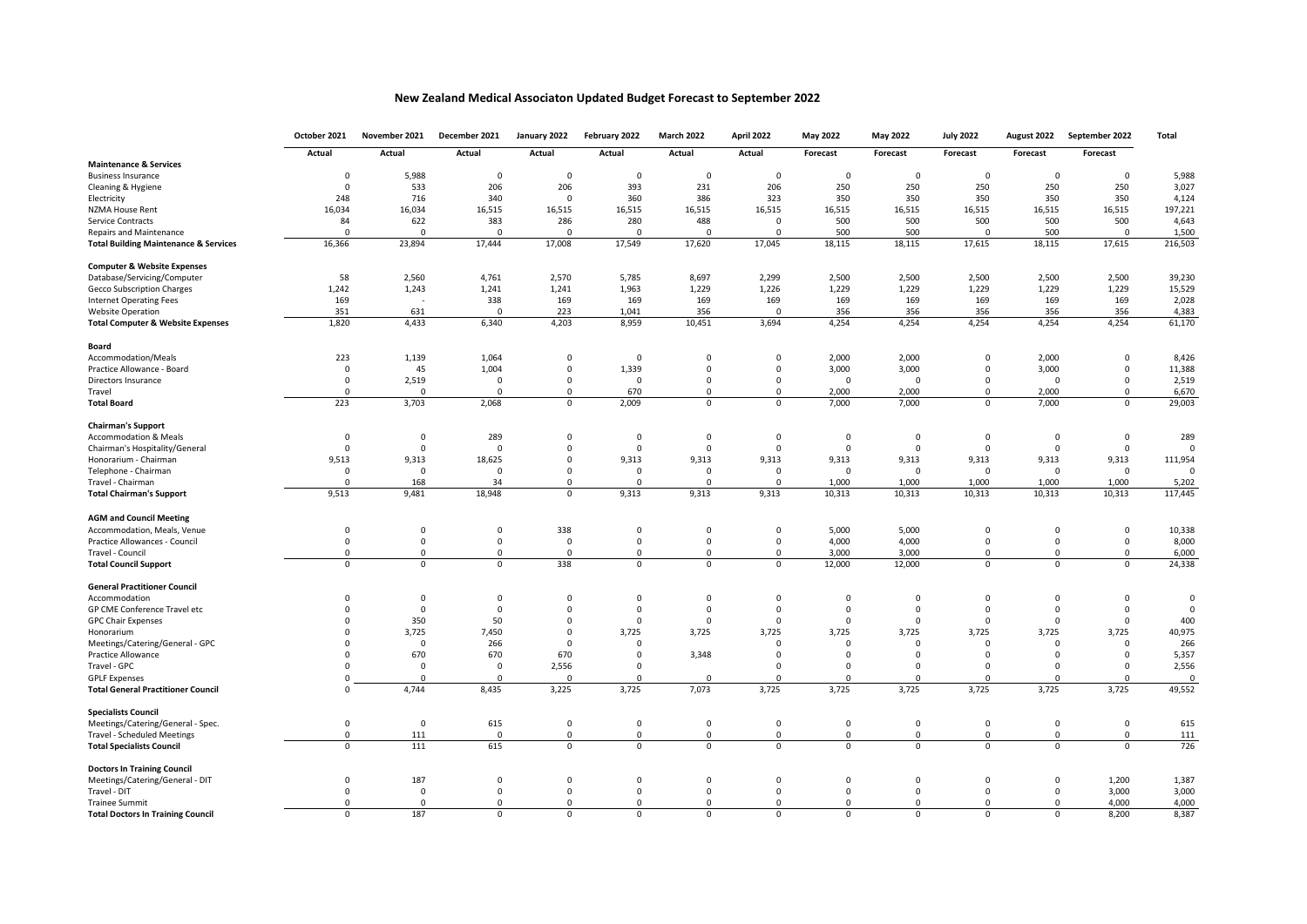## **New Zealand Medical Associaton Updated Budget Forecast to September 2022**

|                                                  | October 2021   | November 2021  | December 2021  | January 2022   | February 2022 | <b>March 2022</b> | April 2022     | <b>May 2022</b> | May 2022     | <b>July 2022</b> | August 2022    | September 2022 | Total       |
|--------------------------------------------------|----------------|----------------|----------------|----------------|---------------|-------------------|----------------|-----------------|--------------|------------------|----------------|----------------|-------------|
|                                                  | Actual         | Actual         | Actual         | Actual         | Actual        | Actual            | Actual         | Forecast        | Forecast     | Forecast         | Forecast       | Forecast       |             |
| <b>Maintenance &amp; Services</b>                |                |                |                |                |               |                   |                |                 |              |                  |                |                |             |
| <b>Business Insurance</b>                        | $\mathbf 0$    | 5,988          | $\mathbf 0$    | $\mathbf 0$    | $\mathbf 0$   | $\mathsf 0$       | $\mathsf 0$    | $\mathbf 0$     | $\mathsf 0$  | $\mathsf 0$      | $\mathsf 0$    | $\mathsf 0$    | 5,988       |
| Cleaning & Hygiene                               | $\mathbf 0$    | 533            | 206            | 206            | 393           | 231               | 206            | 250             | 250          | 250              | 250            | 250            | 3,027       |
| Electricity                                      | 248            | 716            | 340            | $\mathbf 0$    | 360           | 386               | 323            | 350             | 350          | 350              | 350            | 350            | 4,124       |
| <b>NZMA House Rent</b>                           | 16,034         | 16,034         | 16,515         | 16,515         | 16,515        | 16,515            | 16,515         | 16,515          | 16,515       | 16,515           | 16,515         | 16,515         | 197,221     |
| <b>Service Contracts</b>                         | 84             | 622            | 383            | 286            | 280           | 488               | $\mathbf 0$    | 500             | 500          | 500              | 500            | 500            | 4,643       |
| <b>Repairs and Maintenance</b>                   | $\Omega$       | $\mathbf 0$    | $\Omega$       | $\mathbf 0$    | $\mathbf 0$   | $\mathbf 0$       | $\mathbf 0$    | 500             | 500          | $\mathbf 0$      | 500            | $\mathbf 0$    | 1,500       |
| <b>Total Building Maintenance &amp; Services</b> | 16,366         | 23,894         | 17,444         | 17,008         | 17,549        | 17,620            | 17,045         | 18,115          | 18,115       | 17,615           | 18,115         | 17,615         | 216,503     |
| <b>Computer &amp; Website Expenses</b>           |                |                |                |                |               |                   |                |                 |              |                  |                |                |             |
| Database/Servicing/Computer                      | 58             | 2,560          | 4,761          | 2,570          | 5,785         | 8,697             | 2,299          | 2,500           | 2,500        | 2,500            | 2,500          | 2,500          | 39,230      |
| <b>Gecco Subscription Charges</b>                | 1,242          | 1,243          | 1,241          | 1,241          | 1,963         | 1,229             | 1,226          | 1,229           | 1,229        | 1,229            | 1,229          | 1,229          | 15,529      |
| <b>Internet Operating Fees</b>                   | 169            | ÷.             | 338            | 169            | 169           | 169               | 169            | 169             | 169          | 169              | 169            | 169            | 2,028       |
| <b>Website Operation</b>                         | 351            | 631            | $\overline{0}$ | 223            | 1,041         | 356               | $\mathbf 0$    | 356             | 356          | 356              | 356            | 356            | 4,383       |
| <b>Total Computer &amp; Website Expenses</b>     | 1,820          | 4,433          | 6,340          | 4,203          | 8,959         | 10,451            | 3,694          | 4,254           | 4,254        | 4,254            | 4,254          | 4,254          | 61,170      |
| Board                                            |                |                |                |                |               |                   |                |                 |              |                  |                |                |             |
| Accommodation/Meals                              | 223            | 1,139          | 1,064          | $\mathbf 0$    | $\Omega$      | $\mathsf 0$       | $\mathbf 0$    | 2,000           | 2,000        | $\mathbf 0$      | 2,000          | $\mathbf 0$    | 8,426       |
| Practice Allowance - Board                       | 0              | 45             | 1,004          | $\mathsf 0$    | 1,339         | $\mathsf 0$       | $\mathbf 0$    | 3,000           | 3,000        | $\mathsf 0$      | 3,000          | $\mathbf 0$    | 11,388      |
| Directors Insurance                              | $\mathbf 0$    | 2,519          | $\mathbf 0$    | $\mathbf 0$    | $\mathbf 0$   | $\mathbf 0$       | 0              | $\mathbf 0$     | 0            | $\mathbf 0$      | $\mathsf 0$    | $\mathbf 0$    | 2,519       |
| Travel                                           | $\mathbf 0$    | $\mathbf 0$    | $\mathbf 0$    | $\mathbf 0$    | 670           | $\mathbf 0$       | $\mathbf 0$    | 2,000           | 2.000        | $\mathbf 0$      | 2.000          | $\mathbf 0$    | 6,670       |
| <b>Total Board</b>                               | 223            | 3,703          | 2,068          | $\overline{0}$ | 2,009         | $\mathbf 0$       | $\overline{0}$ | 7,000           | 7,000        | $\mathbf 0$      | 7,000          | $\Omega$       | 29,003      |
| <b>Chairman's Support</b>                        |                |                |                |                |               |                   |                |                 |              |                  |                |                |             |
| <b>Accommodation &amp; Meals</b>                 | $\mathsf 0$    | $\mathsf 0$    | 289            | $\mathbf 0$    | $\mathbf 0$   | $\mathbf 0$       | $\mathbf 0$    | $\mathbf 0$     | 0            | $\mathsf 0$      | $\mathsf 0$    | $\mathsf 0$    | 289         |
| Chairman's Hospitality/General                   | $\mathbf 0$    | $\mathbf 0$    | $\Omega$       | $\mathbf 0$    | $\Omega$      | $\mathbf 0$       | $\mathbf 0$    | $\mathbf 0$     | $\mathbf 0$  | $\mathbf 0$      | $\mathbf 0$    | $^{\circ}$     | $\mathbf 0$ |
| Honorarium - Chairman                            | 9,513          | 9,313          | 18,625         | $\mathsf 0$    | 9,313         | 9,313             | 9,313          | 9,313           | 9,313        | 9,313            | 9,313          | 9,313          | 111,954     |
| Telephone - Chairman                             | $\mathsf 0$    | $\mathbf 0$    | $\Omega$       | $\mathsf 0$    | $\mathbf 0$   | $\Omega$          | $\mathbf 0$    | $\mathbf 0$     | $\Omega$     | $\mathbf 0$      | $\mathsf 0$    | $\overline{0}$ | $\mathbf 0$ |
| Travel - Chairman                                | $\Omega$       | 168            | 34             | $\mathbf 0$    | $\Omega$      | $\Omega$          | $\Omega$       | 1,000           | 1,000        | 1,000            | 1,000          | 1,000          | 5,202       |
| <b>Total Chairman's Support</b>                  | 9,513          | 9,481          | 18,948         | $\mathbf 0$    | 9,313         | 9,313             | 9,313          | 10,313          | 10,313       | 10,313           | 10,313         | 10,313         | 117,445     |
| <b>AGM and Council Meeting</b>                   |                |                |                |                |               |                   |                |                 |              |                  |                |                |             |
| Accommodation, Meals, Venue                      | $\mathsf 0$    | $\mathbf 0$    | $\mathbf 0$    | 338            | $\Omega$      | $\mathbf 0$       | $\mathbf 0$    | 5,000           | 5,000        | $\mathbf 0$      | $\mathsf 0$    | $\overline{0}$ | 10,338      |
| Practice Allowances - Council                    | $\mathsf 0$    | $\mathbf 0$    | $\mathbf 0$    | $\mathbf 0$    | $\mathbf 0$   | $\mathbf 0$       | $\mathbf 0$    | 4,000           | 4,000        | $\mathsf 0$      | $\mathsf 0$    | $\mathbf 0$    | 8,000       |
| Travel - Council                                 | $\Omega$       | $\mathbf 0$    | $^{\circ}$     | $\mathbf 0$    | $^{\circ}$    | $\Omega$          | $\mathbf 0$    | 3,000           | 3.000        | $\mathbf 0$      | $\Omega$       | $\Omega$       | 6,000       |
| <b>Total Council Support</b>                     | $\overline{0}$ | $\overline{0}$ | $\overline{0}$ | 338            | $\mathbf 0$   | $\overline{0}$    | $\overline{0}$ | 12,000          | 12,000       | $\overline{0}$   | $\overline{0}$ | $\overline{0}$ | 24,338      |
| <b>General Practitioner Council</b>              |                |                |                |                |               |                   |                |                 |              |                  |                |                |             |
| Accommodation                                    | $\mathbf 0$    | $\mathbf 0$    | $\mathbf 0$    | $\mathbf 0$    | $\mathbf 0$   | 0                 | $\mathbf 0$    | $\mathbf 0$     | $\mathbf{0}$ | $\mathbf 0$      | $\mathbf 0$    | $\mathbf 0$    | $\mathbf 0$ |
| GP CME Conference Travel etc                     | $\Omega$       | $\Omega$       | $\Omega$       | $\Omega$       | $\Omega$      | $\mathbf 0$       | $\Omega$       | $\Omega$        | $\Omega$     | $\Omega$         | $\Omega$       | $\Omega$       | $\mathbf 0$ |
| <b>GPC Chair Expenses</b>                        | $\Omega$       | 350            | 50             | $\overline{0}$ | $\Omega$      | $\mathbf 0$       | $\mathbf 0$    | $\Omega$        | $\mathsf 0$  | $\mathbf 0$      | $\mathbf 0$    | $\mathsf 0$    | 400         |
| Honorarium                                       | $\Omega$       | 3,725          | 7,450          | $\Omega$       | 3,725         | 3,725             | 3,725          | 3,725           | 3,725        | 3,725            | 3,725          | 3,725          | 40,975      |
| Meetings/Catering/General - GPC                  | $\Omega$       | $\mathbf 0$    | 266            | $\mathbf 0$    | $\mathbf 0$   |                   | $\mathbf 0$    | $\mathbf 0$     | $\mathbf 0$  | $\mathbf 0$      | $\mathsf 0$    | $\mathbf 0$    | 266         |
| Practice Allowance                               | $\Omega$       | 670            | 670            | 670            | $\Omega$      | 3,348             | $\Omega$       | $\Omega$        | $\mathbf 0$  | $\Omega$         | $\mathsf 0$    | $\mathbf 0$    | 5,357       |
| Travel - GPC                                     | $\Omega$       | $\Omega$       | $\Omega$       | 2,556          | $\Omega$      |                   | $\Omega$       | $\Omega$        | $\Omega$     | $\mathbf 0$      | $\Omega$       | $\Omega$       | 2,556       |
| <b>GPLF Expenses</b>                             | $\Omega$       | $\Omega$       | $\Omega$       | $\Omega$       | $\Omega$      | $\Omega$          | $\Omega$       | $\Omega$        | $\Omega$     | $\Omega$         | $\Omega$       | $\Omega$       | $\mathbf 0$ |
| <b>Total General Practitioner Council</b>        | $\Omega$       | 4,744          | 8,435          | 3,225          | 3,725         | 7,073             | 3,725          | 3,725           | 3,725        | 3,725            | 3,725          | 3,725          | 49,552      |
| <b>Specialists Council</b>                       |                |                |                |                |               |                   |                |                 |              |                  |                |                |             |
| Meetings/Catering/General - Spec.                | $\mathbf 0$    | $\mathbf 0$    | 615            | $\mathbf 0$    | $\Omega$      | $\mathsf 0$       | $\mathbf 0$    | $\Omega$        | $\mathsf 0$  | $\mathbf 0$      | $\mathsf 0$    | $\mathbf 0$    | 615         |
| <b>Travel - Scheduled Meetings</b>               | $\mathbf 0$    | 111            | $\mathbf{0}$   | $\mathbf 0$    | $\mathbf 0$   | $\mathbf 0$       | $\mathsf 0$    | $\mathbf 0$     | $\mathbf 0$  | $\mathbf 0$      | $\mathsf 0$    | $\mathbf 0$    | 111         |
| <b>Total Specialists Council</b>                 | $\Omega$       | 111            | 615            | $\overline{0}$ | $\Omega$      | $\Omega$          | $\overline{0}$ | $\Omega$        | $\Omega$     | $\overline{0}$   | $\Omega$       | $\Omega$       | 726         |
| <b>Doctors In Training Council</b>               |                |                |                |                |               |                   |                |                 |              |                  |                |                |             |
| Meetings/Catering/General - DIT                  | $\mathbf 0$    | 187            | $\mathbf 0$    | $\mathbf 0$    | $\mathbf 0$   | $\mathbf 0$       | $\mathbf 0$    | $\mathbf 0$     | $\mathbf 0$  | $\mathbf 0$      | $\mathbf 0$    | 1,200          | 1,387       |
| Travel - DIT                                     | $\mathbf 0$    | $\mathsf 0$    | $\mathsf 0$    | $\mathsf 0$    | $\mathsf 0$   | $\mathsf 0$       | $\mathsf 0$    | $\mathsf 0$     | $\mathsf 0$  | $\mathsf 0$      | $\mathbf 0$    | 3,000          | 3,000       |
| <b>Trainee Summit</b>                            | $\Omega$       | $\Omega$       | $\Omega$       | $\Omega$       | $\Omega$      | $\Omega$          | $\mathbf 0$    | $\Omega$        | $\Omega$     | $\mathbf 0$      | $\Omega$       | 4,000          | 4,000       |
| <b>Total Doctors In Training Council</b>         | $\Omega$       | 187            | $\Omega$       | $\mathbf 0$    | $\Omega$      | $\Omega$          | $\Omega$       | $\Omega$        | $\Omega$     | $\mathbf 0$      | $\Omega$       | 8,200          | 8,387       |